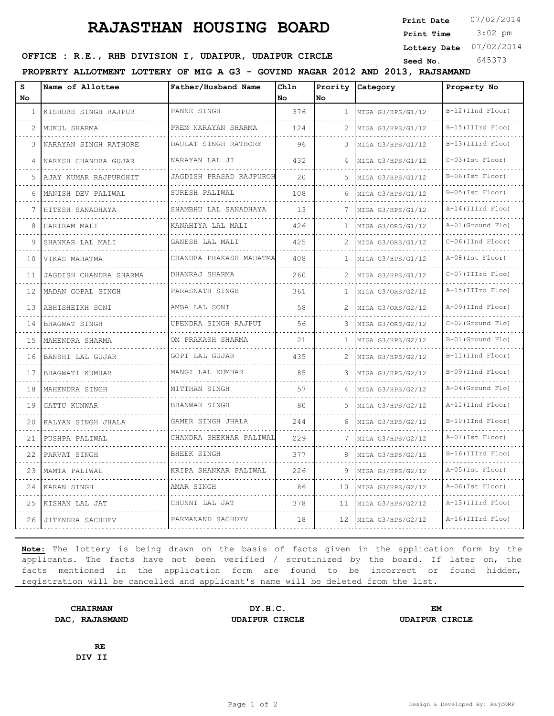## **RAJASTHAN HOUSING BOARD**

**Print Date**  $07/02/2014$ 

 3:02 pm **Print Time**

**Lottery Date** 07/02/2014

**SEED OFFICE : R.E., RHB DIVISION I, UDAIPUR, UDAIPUR CIRCLE** Seed No. 645373

**PROPERTY ALLOTMENT LOTTERY OF MIG A G3 - GOVIND NAGAR 2012 AND 2013, RAJSAMAND**

| s<br>No | Name of Allottee       | Father/Husband Name               | Chln<br>l No | No  | Prority Category       | Property No           |
|---------|------------------------|-----------------------------------|--------------|-----|------------------------|-----------------------|
| -1      | KISHORE SINGH RAJPUR   | PANNE SINGH                       | 376          | 1   | MIGA G3/HPS/G1/12      | B-12(IInd Floor)<br>. |
| 2       | MUKUL SHARMA           | PREM NARAYAN SHARMA               | 124          | 2   | MIGA G3/HPS/G1/12      | B-15(IIIrd Floo)      |
| 3       | NARAYAN SINGH RATHORE  | .<br>DAULAT SINGH RATHORE         | 96           | 3   | MIGA G3/HPS/G1/12      | B-13 (IIIrd Floo)     |
| 4       | NARESH CHANDRA GUJAR   | NARAYAN LAL JI                    | 432          |     | MIGA G3/HPS/G1/12<br>. | C-03 (Ist Floor)      |
| 5       | AJAY KUMAR RAJPUROHIT  | .<br>JAGDISH PRASAD RAJPUROH<br>. | 20           | 5.  | MIGA G3/HPS/G1/12      | $B-06$ (Ist Floor)    |
| 6       | MANISH DEV PALIWAL     | SURESH PALIWAL                    | 108          | 6   | MIGA G3/HPS/G1/12      | B-05(Ist Floor)       |
| 7       | HITESH SANADHAYA       | SHAMBHU LAL SANADHAYA             | 13           | 7   | MIGA G3/HPS/G1/12      | A-14 (IIIrd Floo)     |
| 8       | HARIRAM MALI           | KANAHIYA LAL MALI                 | 426          |     | MIGA G3/ORS/G1/12      | A-01 (Ground Flo)     |
| 9       | SHANKAR LAL MALI       | GANESH LAL MALI                   | 425          | 2   | MIGA G3/ORS/G1/12      | C-06(IInd Floor)      |
| 10      | VIKAS MAHATMA          | CHANDRA PRAKASH MAHATMA           | 408          | 1.  | MIGA G3/HPS/G1/12      | A-08 (Ist Floor)      |
| 11      | JAGDISH CHANDRA SHARMA | DHANRAJ SHARMA                    | 260          |     | MIGA G3/HPS/G1/12      | C-07 (IIIrd Floo)     |
| 12      | MADAN GOPAL SINGH      | PARASNATH SINGH<br>.              | 361          | 1   | MIGA G3/ORS/G2/12      | A-15 (IIIrd Floo)     |
| 13      | ABHISHEIKH SONI        | AMBA LAL SONI                     | 58           |     | MIGA G3/ORS/G2/12      | A-09(IInd Floor)      |
| 14      | BHAGWAT SINGH          | UPENDRA SINGH RAJPUT              | 56           | 3.  | MIGA G3/ORS/G2/12      | C-02 (Ground Flo)     |
| 15      | MAHENDRA SHARMA        | OM PRAKASH SHARMA<br>.            | 21           | 1   | MIGA G3/HPS/G2/12      | B-01 (Ground Flo)     |
| 16      | BANSHI LAL GUJAR       | GOPI LAL GUJAR                    | 435          |     | MIGA G3/HPS/G2/12      | B-11 (IInd Floor)     |
| 17      | BHAGWATI KUMHAR        | MANGI LAL KUMHAR                  | 85           | 3   | MIGA G3/HPS/G2/12      | B-09(IInd Floor)      |
| 18      | MAHENDRA SINGH         | MITTHAN SINGH                     | 57           |     | MIGA G3/HPS/G2/12<br>. | A-04 (Ground Flo)     |
| 19      | GATTU KUNWAR           | BHANWAR SINGH                     | 80           | .5. | MIGA G3/HPS/G2/12      | A-11 (IInd Floor)     |
| 20      | KALYAN SINGH JHALA     | GAMER SINGH JHALA                 | 244          | 6   | MIGA G3/HPS/G2/12      | B-10(IInd Floor)      |
| 21      | PUSHPA PALIWAL         | CHANDRA SHEKHAR PALIWAL           | 229          | 7   | MIGA G3/HPS/G2/12      | A-07 (Ist Floor)      |
| 22      | PARVAT SINGH           | BHEEK SINGH                       | 377          | 8   | MIGA G3/HPS/G2/12      | B-16(IIIrd Floo)      |
| 23      | MAMTA PALIWAL          | KRIPA SHANKAR PALIWAL             | 226          | 9   | MIGA G3/HPS/G2/12      | A-05 (Ist Floor)      |
| 24      | KARAN SINGH            | AMAR SINGH                        | 86           | 10  | MIGA G3/HPS/G2/12      | A-06(Ist Floor)       |
| 25      | KISHAN LAL JAT         | CHUNNI LAL JAT                    | 378          | 11  | MIGA G3/HPS/G2/12      | A-13 (IIIrd Floo)     |
| 26      | JITENDRA SACHDEV       | PARMANAND SACHDEV                 | 18           |     | 12 MIGA G3/HPS/G2/12   | A-16(IIIrd Floo)      |

**Note:** The lottery is being drawn on the basis of facts given in the application form by the applicants. The facts have not been verified / scrutinized by the board. If later on, the facts mentioned in the application form are found to be incorrect or found hidden, registration will be cancelled and applicant's name will be deleted from the list.

**CHAIRMAN DY.H.C. EM DAC, RAJASMAND UDAIPUR CIRCLE UDAIPUR CIRCLE**

**RE DIV II**